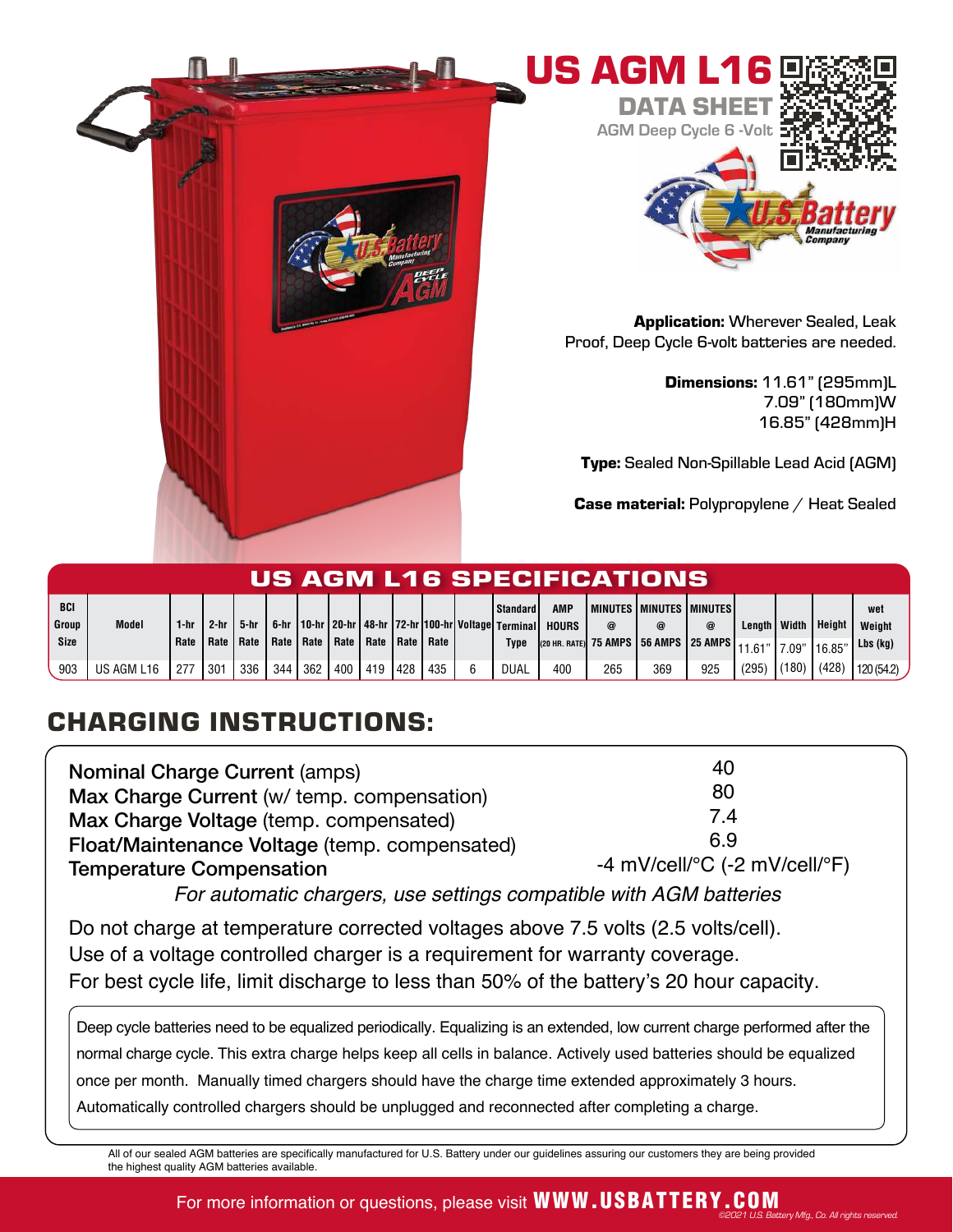



Application: Wherever Sealed, Leak Proof, Deep Cycle 6-volt batteries are needed.

> Dimensions: 11.61" (295mm)L 7.09" (180mm)W 16.85" (428mm)H

Type: Sealed Non-Spillable Lead Acid (AGM)

Case material: Polypropylene / Heat Sealed

| US AGM L16 SPECIFICATIONS |              |       |      |                                                       |     |     |         |  |     |     |  |                 |                                                                            |     |                                 |     |                     |        |               |           |
|---------------------------|--------------|-------|------|-------------------------------------------------------|-----|-----|---------|--|-----|-----|--|-----------------|----------------------------------------------------------------------------|-----|---------------------------------|-----|---------------------|--------|---------------|-----------|
| BCI                       |              |       |      |                                                       |     |     |         |  |     |     |  | <b>Standard</b> | <b>AMP</b>                                                                 |     | I MINUTES I MINUTES I MINUTES I |     |                     |        |               | wet       |
| Group                     | <b>Model</b> | l-hr  | 2-hr | 5-hr                                                  |     |     |         |  |     |     |  |                 | 6-hr   10-hr   20-hr   48-hr   72-hr   100-hr   Voltage   Terminal   HOURS |     |                                 | @   | Lenath <i>Width</i> |        | <b>Height</b> | Weight    |
| Size                      |              | Rate  |      | Rate   Rate   Rate   Rate   Rate   Rate   Rate   Rate |     |     |         |  |     |     |  | Type            |                                                                            |     | 11.61"                          |     |                     | 17.09" | 16.85'        | Lbs (kg)  |
| 903                       | US AGM L16   | . 277 | 301  | 336                                                   | 344 | 362 | 400 419 |  | 428 | 435 |  | <b>DUAL</b>     | 400                                                                        | 265 | 369                             | 925 | $(295)$ (180)       |        | (428)         | 120(54.2) |

## CHARGING INSTRUCTIONS:

| <b>Nominal Charge Current (amps)</b>          | 40                                                      |
|-----------------------------------------------|---------------------------------------------------------|
| Max Charge Current (w/ temp. compensation)    | 80                                                      |
| Max Charge Voltage (temp. compensated)        | 7.4                                                     |
| Float/Maintenance Voltage (temp. compensated) | 69                                                      |
| <b>Temperature Compensation</b>               | -4 mV/cell/ ${}^{\circ}$ C (-2 mV/cell/ ${}^{\circ}$ F) |

For automatic chargers, use settings compatible with AGM batteries

Do not charge at temperature corrected voltages above 7.5 volts (2.5 volts/cell). Use of a voltage controlled charger is a requirement for warranty coverage. For best cycle life, limit discharge to less than 50% of the battery's 20 hour capacity.

Deep cycle batteries need to be equalized periodically. Equalizing is an extended, low current charge performed after the normal charge cycle. This extra charge helps keep all cells in balance. Actively used batteries should be equalized once per month. Manually timed chargers should have the charge time extended approximately 3 hours. Automatically controlled chargers should be unplugged and reconnected after completing a charge.

All of our sealed AGM batteries are specifically manufactured for U.S. Battery under our guidelines assuring our customers they are being provided the highest quality AGM batteries available.

## For more information or questions, please visit **WWW.USBATTERY.COM** ©2021 U.S. Battery Mfg., Co. All rights reserved.